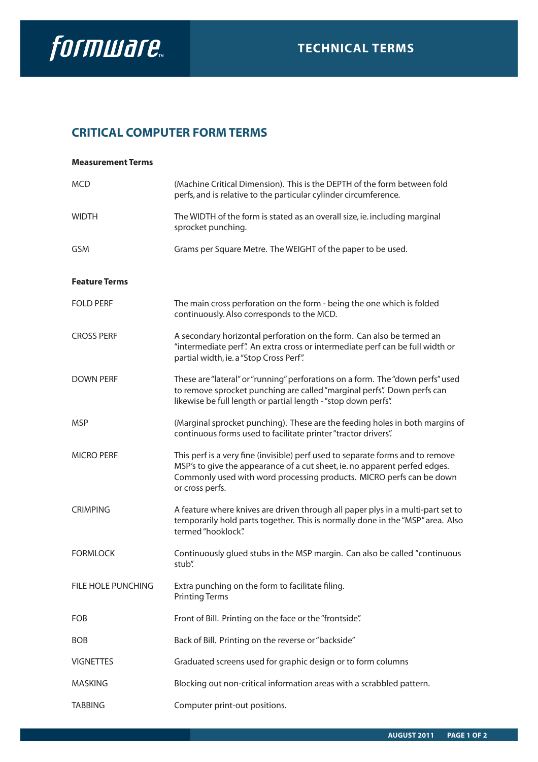

## **CRITICAL COMPUTER FORM TERMS**

| <b>Measurement Terms</b> |                                                                                                                                                                                                                                                         |
|--------------------------|---------------------------------------------------------------------------------------------------------------------------------------------------------------------------------------------------------------------------------------------------------|
| <b>MCD</b>               | (Machine Critical Dimension). This is the DEPTH of the form between fold<br>perfs, and is relative to the particular cylinder circumference.                                                                                                            |
| <b>WIDTH</b>             | The WIDTH of the form is stated as an overall size, ie. including marginal<br>sprocket punching.                                                                                                                                                        |
| <b>GSM</b>               | Grams per Square Metre. The WEIGHT of the paper to be used.                                                                                                                                                                                             |
| <b>Feature Terms</b>     |                                                                                                                                                                                                                                                         |
| <b>FOLD PERF</b>         | The main cross perforation on the form - being the one which is folded<br>continuously. Also corresponds to the MCD.                                                                                                                                    |
| <b>CROSS PERF</b>        | A secondary horizontal perforation on the form. Can also be termed an<br>"intermediate perf". An extra cross or intermediate perf can be full width or<br>partial width, ie. a "Stop Cross Perf".                                                       |
| <b>DOWN PERF</b>         | These are "lateral" or "running" perforations on a form. The "down perfs" used<br>to remove sprocket punching are called "marginal perfs". Down perfs can<br>likewise be full length or partial length - "stop down perfs".                             |
| <b>MSP</b>               | (Marginal sprocket punching). These are the feeding holes in both margins of<br>continuous forms used to facilitate printer "tractor drivers".                                                                                                          |
| <b>MICRO PERF</b>        | This perf is a very fine (invisible) perf used to separate forms and to remove<br>MSP's to give the appearance of a cut sheet, ie. no apparent perfed edges.<br>Commonly used with word processing products. MICRO perfs can be down<br>or cross perfs. |
| <b>CRIMPING</b>          | A feature where knives are driven through all paper plys in a multi-part set to<br>temporarily hold parts together. This is normally done in the "MSP" area. Also<br>termed "hooklock".                                                                 |
| <b>FORMLOCK</b>          | Continuously glued stubs in the MSP margin. Can also be called "continuous<br>stub".                                                                                                                                                                    |
| FILE HOLE PUNCHING       | Extra punching on the form to facilitate filing.<br><b>Printing Terms</b>                                                                                                                                                                               |
| FOB                      | Front of Bill. Printing on the face or the "frontside".                                                                                                                                                                                                 |
| <b>BOB</b>               | Back of Bill. Printing on the reverse or "backside"                                                                                                                                                                                                     |
| <b>VIGNETTES</b>         | Graduated screens used for graphic design or to form columns                                                                                                                                                                                            |
| <b>MASKING</b>           | Blocking out non-critical information areas with a scrabbled pattern.                                                                                                                                                                                   |
| <b>TABBING</b>           | Computer print-out positions.                                                                                                                                                                                                                           |